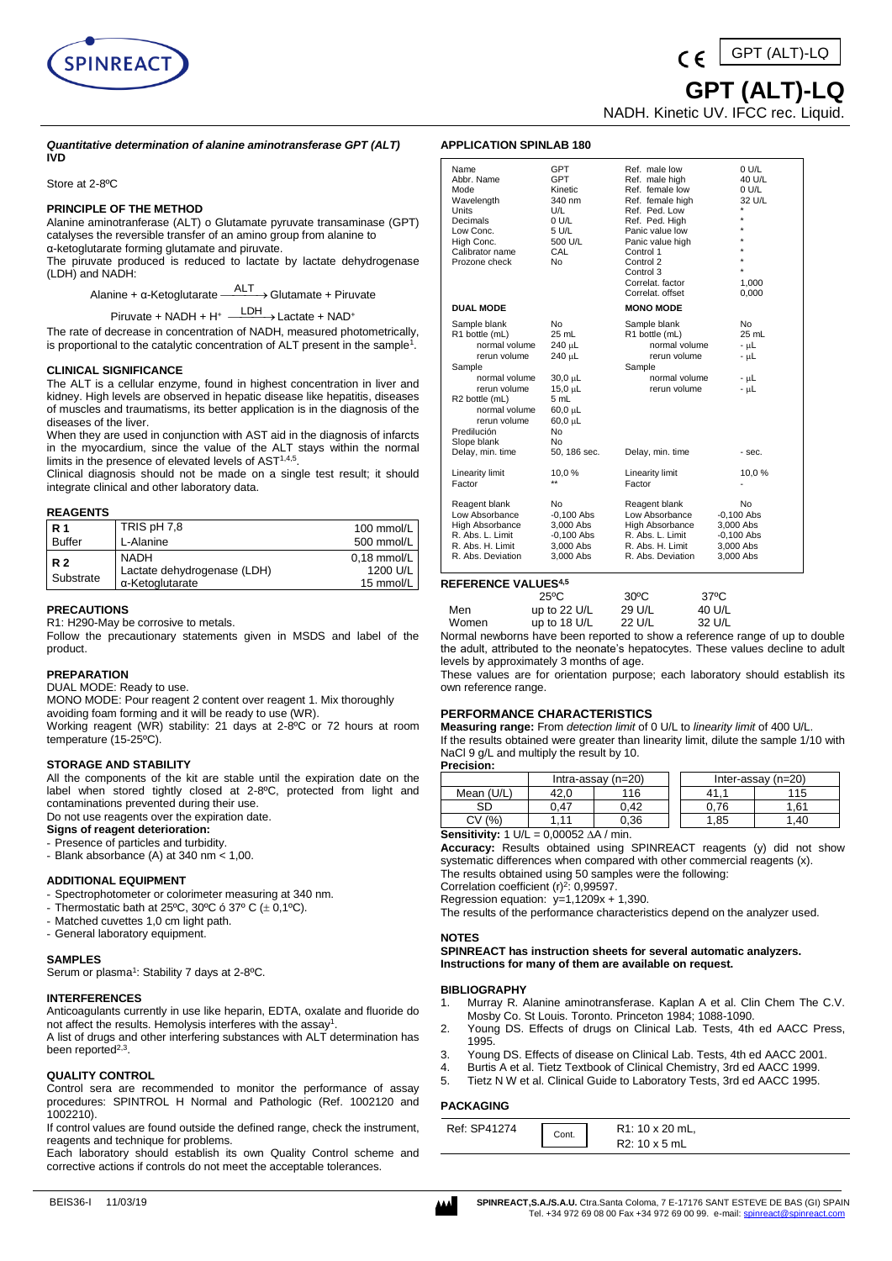

GPT (ALT)-LQ

 **GPT (ALT)-LQ**

NADH. Kinetic UV. IFCC rec. Liquid.

#### *Quantitative determination of alanine aminotransferase GPT (ALT)* **IVD**

Store at 2-8ºC

## **PRINCIPLE OF THE METHOD**

Alanine aminotranferase (ALT) o Glutamate pyruvate transaminase (GPT) catalyses the reversible transfer of an amino group from alanine to α-ketoglutarate forming glutamate and piruvate.

The piruvate produced is reduced to lactate by lactate dehydrogenase (LDH) and NADH:

Alanine + α-Ketoglutarate — ALT → Glutamate + Piruvate

Piruvate + NADH + H<sup>+</sup> <sup>LDH</sup> > Lactate + NAD<sup>+</sup>

The rate of decrease in concentration of NADH, measured photometrically, is proportional to the catalytic concentration of ALT present in the sample<sup>1</sup>.

## **CLINICAL SIGNIFICANCE**

The ALT is a cellular enzyme, found in highest concentration in liver and kidney. High levels are observed in hepatic disease like hepatitis, diseases of muscles and traumatisms, its better application is in the diagnosis of the diseases of the liver.

When they are used in conjunction with AST aid in the diagnosis of infarcts in the myocardium, since the value of the ALT stays within the normal limits in the presence of elevated levels of AST1,4,5 .

Clinical diagnosis should not be made on a single test result; it should integrate clinical and other laboratory data.

## **REAGENTS**

| R <sub>1</sub> | TRIS pH 7,8                 | 100 mmol/L    |
|----------------|-----------------------------|---------------|
| Buffer         | L-Alanine                   | 500 mmol/L    |
| <b>R2</b>      | <b>NADH</b>                 | $0.18$ mmol/L |
|                | Lactate dehydrogenase (LDH) | 1200 U/L      |
| Substrate      | α-Ketoglutarate             | 15 mmol/L     |

## **PRECAUTIONS**

R1: H290-May be corrosive to metals.

Follow the precautionary statements given in MSDS and label of the product.

## **PREPARATION**

DUAL MODE: Ready to use.

MONO MODE: Pour reagent 2 content over reagent 1. Mix thoroughly

avoiding foam forming and it will be ready to use (WR). Working reagent (WR) stability: 21 days at 2-8ºC or 72 hours at room temperature (15-25ºC).

## **STORAGE AND STABILITY**

All the components of the kit are stable until the expiration date on the label when stored tightly closed at 2-8°C, protected from light and contaminations prevented during their use. Do not use reagents over the expiration date.

# **Signs of reagent deterioration:**

- Presence of particles and turbidity.

- Blank absorbance (A) at 340 nm < 1,00.

## **ADDITIONAL EQUIPMENT**

- Spectrophotometer or colorimeter measuring at 340 nm.
- Thermostatic bath at 25°C, 30°C ó 37° C  $(\pm 0,1^{\circ}C)$ .
- Matched cuvettes 1,0 cm light path.
- General laboratory equipment.

# **SAMPLES**

Serum or plasma<sup>1</sup>: Stability 7 days at 2-8°C.

# **INTERFERENCES**

Anticoagulants currently in use like heparin, EDTA, oxalate and fluoride do not affect the results. Hemolysis interferes with the assay<sup>1</sup> .

A list of drugs and other interfering substances with ALT determination has been reported<sup>2,3</sup>.

# **QUALITY CONTROL**

Control sera are recommended to monitor the performance of assay procedures: SPINTROL H Normal and Pathologic (Ref. 1002120 and 1002210).

If control values are found outside the defined range, check the instrument, reagents and technique for problems.

Each laboratory should establish its own Quality Control scheme and corrective actions if controls do not meet the acceptable tolerances.

| Name<br>Abbr. Name<br>Mode<br>Wavelength<br>Units<br>Decimals<br>Low Conc.<br>High Conc.<br>Calibrator name<br>Prozone check                                                                                                | <b>GPT</b><br><b>GPT</b><br>Kinetic<br>340 nm<br>U/L<br>0 U/L<br>5 U/L<br>500 U/L<br>CAL<br>No                                                  | Ref. male low<br>Ref. male high<br>Ref. female low<br>Ref. female high<br>Ref. Ped. Low<br>Ref. Ped. High<br>Panic value low<br>Panic value high<br>Control 1<br>Control 2<br>Control 3 | 0 U/L<br>40 U/L<br>0 U/L<br>32 U/L                                        |
|-----------------------------------------------------------------------------------------------------------------------------------------------------------------------------------------------------------------------------|-------------------------------------------------------------------------------------------------------------------------------------------------|-----------------------------------------------------------------------------------------------------------------------------------------------------------------------------------------|---------------------------------------------------------------------------|
|                                                                                                                                                                                                                             |                                                                                                                                                 | Correlat. factor<br>Correlat. offset                                                                                                                                                    | 1,000<br>0,000                                                            |
| <b>DUAL MODE</b>                                                                                                                                                                                                            |                                                                                                                                                 | <b>MONO MODE</b>                                                                                                                                                                        |                                                                           |
| Sample blank<br>R1 bottle (mL)<br>normal volume<br>rerun volume<br>Sample<br>normal volume<br>rerun volume<br>R <sub>2</sub> bottle (mL)<br>normal volume<br>rerun volume<br>Predilución<br>Slope blank<br>Delay, min. time | No<br>25 mL<br>$240 \mu L$<br>$240 \mu L$<br>$30,0 \mu L$<br>$15,0 \,\mu L$<br>5 mL<br>$60,0 \mu L$<br>$60,0 \mu L$<br>No<br>No<br>50, 186 sec. | Sample blank<br>R1 bottle (mL)<br>normal volume<br>rerun volume<br>Sample<br>normal volume<br>rerun volume<br>Delay, min. time                                                          | No<br>25 mL<br>$- \mu L$<br>$- \mu L$<br>$- \mu L$<br>$- \mu L$<br>- sec. |
| Linearity limit                                                                                                                                                                                                             | 10,0%                                                                                                                                           | Linearity limit                                                                                                                                                                         | 10,0%                                                                     |
| Factor                                                                                                                                                                                                                      | $\star\star$                                                                                                                                    | Factor                                                                                                                                                                                  |                                                                           |
| Reagent blank<br>Low Absorbance<br><b>High Absorbance</b><br>R. Abs. L. Limit<br>R. Abs. H. Limit<br>R. Abs. Deviation                                                                                                      | No<br>$-0,100$ Abs<br>3,000 Abs<br>$-0,100$ Abs<br>3,000 Abs<br>3,000 Abs                                                                       | Reagent blank<br>Low Absorbance<br><b>High Absorbance</b><br>R. Abs. L. Limit<br>R. Abs. H. Limit<br>R. Abs. Deviation                                                                  | No<br>$-0,100$ Abs<br>3,000 Abs<br>$-0,100$ Abs<br>3,000 Abs<br>3,000 Abs |

# **REFERENCE VALUES4,5**

**APPLICATION SPINLAB 180**

|       | $25^{\circ}$ C | $30^{\circ}$ C | 37°C   |
|-------|----------------|----------------|--------|
| Men   | up to 22 $U/L$ | 29 U/L         | 40 U/L |
| Women | up to 18 $U/L$ | 22 U/L         | 32 U/L |

Normal newborns have been reported to show a reference range of up to double the adult, attributed to the neonate's hepatocytes. These values decline to adult levels by approximately 3 months of age.

These values are for orientation purpose; each laboratory should establish its own reference range.

## **PERFORMANCE CHARACTERISTICS**

**Measuring range:** From *detection limit* of 0 U/L to *linearity limit* of 400 U/L. If the results obtained were greater than linearity limit, dilute the sample 1/10 with NaCl 9 g/L and multiply the result by 10.

**Precision:**  $\begin{array}{|c|c|c|c|}\n\hline\nIntra-assay (n=20) 116 & Inter-assay (n=20) 42,0 & 116 & 41,1 & 115\n\end{array}$ Mean (U/L) SD 0,47 0,42 0,76 1,61  $CV(%)$  | 1,11 | 0,36 | | 1,85 | 1,40

**Sensitivity:** 1 U/L = 0,00052 ∆A / min.

**Accuracy:** Results obtained using SPINREACT reagents (y) did not show systematic differences when compared with other commercial reagents (x). The results obtained using 50 samples were the following:

Correlation coefficient  $(r)^2$ : 0,99597. Regression equation:  $y=1,1209x + 1,390$ .

The results of the performance characteristics depend on the analyzer used.

# **NOTES**

**SPINREACT has instruction sheets for several automatic analyzers. Instructions for many of them are available on request.**

## **BIBLIOGRAPHY**

- 1. Murray R. Alanine aminotransferase. Kaplan A et al. Clin Chem The C.V. Mosby Co. St Louis. Toronto. Princeton 1984; 1088-1090.
- 2. Young DS. Effects of drugs on Clinical Lab. Tests, 4th ed AACC Press, 1995.
- 3. Young DS. Effects of disease on Clinical Lab. Tests, 4th ed AACC 2001.
- 4. Burtis A et al. Tietz Textbook of Clinical Chemistry, 3rd ed AACC 1999.
- 5. Tietz N W et al. Clinical Guide to Laboratory Tests, 3rd ed AACC 1995.

## **PACKAGING**

| Ref: SP41274 | Cont. | R1: 10 x 20 mL, |
|--------------|-------|-----------------|
|              |       | R2: 10 x 5 mL   |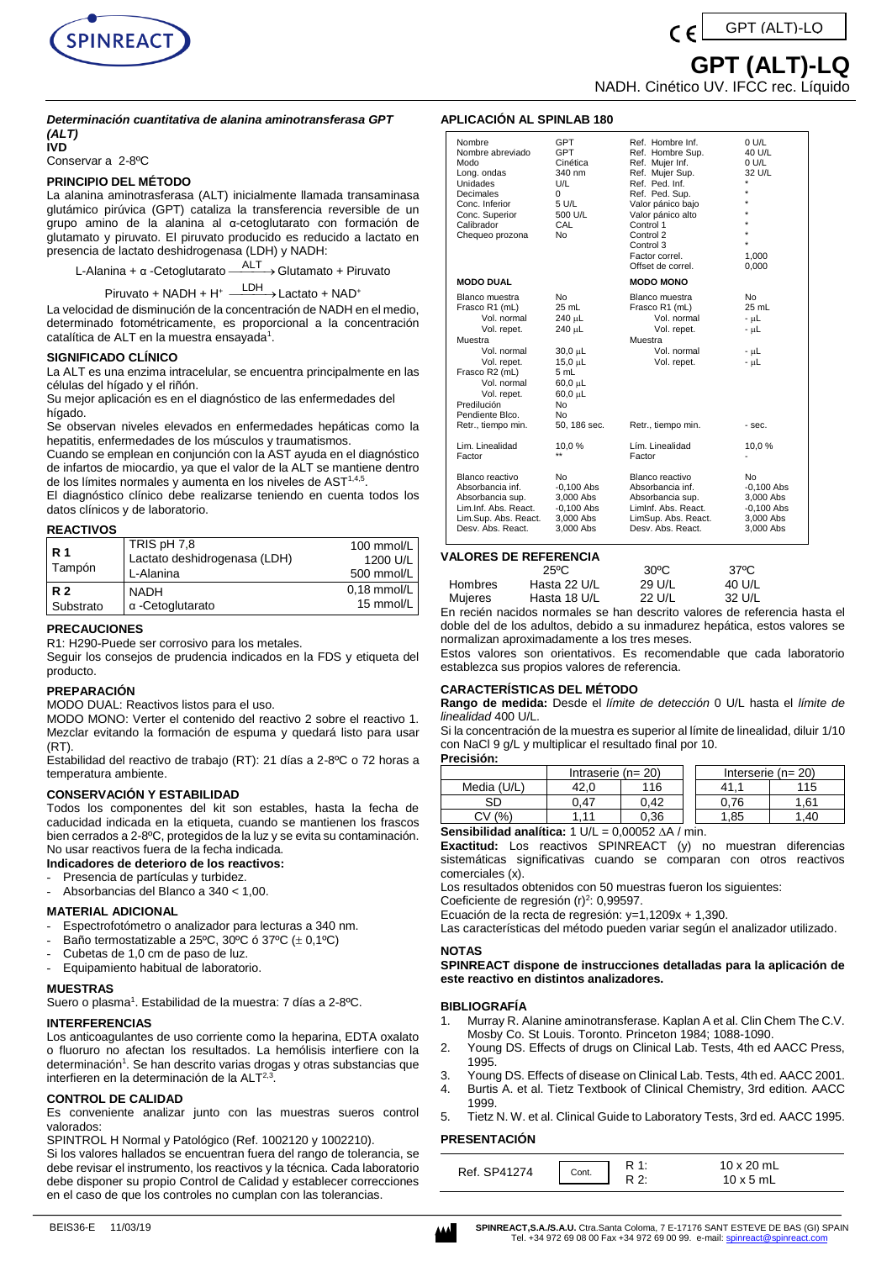

# GPT (ALT)-LQ

 **GPT (ALT)-LQ**

NADH. Cinético UV. IFCC rec. Líquido

## *Determinación cuantitativa de alanina aminotransferasa GPT (ALT)* **IVD**

Conservar a 2-8ºC

# **PRINCIPIO DEL MÉTODO**

La alanina aminotrasferasa (ALT) inicialmente llamada transaminasa glutámico pirúvica (GPT) cataliza la transferencia reversible de un grupo amino de la alanina al α-cetoglutarato con formación de glutamato y piruvato. El piruvato producido es reducido a lactato en presencia de lactato deshidrogenasa (LDH) y NADH:

L-Alanina + α -Cetoglutarato <sup>— ALT</sup>→ Glutamato + Piruvato

# Piruvato + NADH + H<sup>+</sup> <sup>LDH</sup> > Lactato + NAD<sup>+</sup>

La velocidad de disminución de la concentración de NADH en el medio, determinado fotométricamente, es proporcional a la concentración catalítica de ALT en la muestra ensayada $^{\scriptscriptstyle 1}$ .

# **SIGNIFICADO CLÍNICO**

La ALT es una enzima intracelular, se encuentra principalmente en las células del hígado y el riñón.

Su mejor aplicación es en el diagnóstico de las enfermedades del hígado.

Se observan niveles elevados en enfermedades hepáticas como la hepatitis, enfermedades de los músculos y traumatismos.

Cuando se emplean en conjunción con la AST ayuda en el diagnóstico de infartos de miocardio, ya que el valor de la ALT se mantiene dentro de los límites normales y aumenta en los niveles de AST<sup>1,4,5</sup>.

El diagnóstico clínico debe realizarse teniendo en cuenta todos los datos clínicos y de laboratorio.

## **REACTIVOS**

| <b>R</b> 1<br>Tampón   | TRIS pH 7,8<br>Lactato deshidrogenasa (LDH)<br>L-Alanina | 100 mmol/L<br>1200 U/L<br>500 mmol/L |
|------------------------|----------------------------------------------------------|--------------------------------------|
| <b>R2</b><br>Substrato | <b>NADH</b><br>α-Cetoglutarato                           | $0.18$ mmol/L<br>15 mmol/L           |

# **PRECAUCIONES**

R1: H290-Puede ser corrosivo para los metales.

Seguir los consejos de prudencia indicados en la FDS y etiqueta del producto.

## **PREPARACIÓN**

MODO DUAL: Reactivos listos para el uso.

MODO MONO: Verter el contenido del reactivo 2 sobre el reactivo 1. Mezclar evitando la formación de espuma y quedará listo para usar (RT).

Estabilidad del reactivo de trabajo (RT): 21 días a 2-8ºC o 72 horas a temperatura ambiente.

# **CONSERVACIÓN Y ESTABILIDAD**

Todos los componentes del kit son estables, hasta la fecha de caducidad indicada en la etiqueta, cuando se mantienen los frascos bien cerrados a 2-8ºC, protegidos de la luz y se evita su contaminación. No usar reactivos fuera de la fecha indicada.

**Indicadores de deterioro de los reactivos:**

- Presencia de partículas y turbidez.
- Absorbancias del Blanco a 340 < 1,00.

## **MATERIAL ADICIONAL**

- Espectrofotómetro o analizador para lecturas a 340 nm.
- Baño termostatizable a 25°C, 30°C ó 37°C ( $\pm$  0,1°C)
- Cubetas de 1,0 cm de paso de luz.
- Equipamiento habitual de laboratorio.

## **MUESTRAS**

Suero o plasma<sup>1</sup>. Estabilidad de la muestra: 7 días a 2-8°C.

## **INTERFERENCIAS**

Los anticoagulantes de uso corriente como la heparina, EDTA oxalato o fluoruro no afectan los resultados. La hemólisis interfiere con la determinación<sup>1</sup>. Se han descrito varias drogas y otras substancias que interfieren en la determinación de la ALT<sup>2,3</sup>.

# **CONTROL DE CALIDAD**

Es conveniente analizar junto con las muestras sueros control valorados:

SPINTROL H Normal y Patológico (Ref. 1002120 y 1002210).

Si los valores hallados se encuentran fuera del rango de tolerancia, se debe revisar el instrumento, los reactivos y la técnica. Cada laboratorio debe disponer su propio Control de Calidad y establecer correcciones en el caso de que los controles no cumplan con las tolerancias.

## **APLICACIÓN AL SPINLAB 180**

| Nombre<br>Nombre abreviado<br>Modo<br>Long. ondas<br>Unidades<br>Decimales<br>Conc. Inferior<br>Conc. Superior<br>Calibrador<br>Chequeo prozona                                                                 | GPT<br><b>GPT</b><br>Cinética<br>340 nm<br>U/L<br>0<br>5 U/L<br>500 U/L<br>CAL<br>N <sub>o</sub>                                                       | Ref. Hombre Inf.<br>Ref. Hombre Sup.<br>Ref. Mujer Inf.<br>Ref. Mujer Sup.<br>Ref. Ped. Inf.<br>Ref. Ped. Sup.<br>Valor pánico bajo<br>Valor pánico alto<br>Control 1<br>Control 2<br>Control 3<br>Factor correl.<br>Offset de correl. | 0 U/L<br>40 U/L<br>0 U/L<br>32 U/L<br>÷<br>÷<br>÷<br>÷<br>$\star$<br>÷<br>$\star$<br>1,000<br>0,000 |
|-----------------------------------------------------------------------------------------------------------------------------------------------------------------------------------------------------------------|--------------------------------------------------------------------------------------------------------------------------------------------------------|----------------------------------------------------------------------------------------------------------------------------------------------------------------------------------------------------------------------------------------|-----------------------------------------------------------------------------------------------------|
| <b>MODO DUAL</b>                                                                                                                                                                                                |                                                                                                                                                        | <b>MODO MONO</b>                                                                                                                                                                                                                       |                                                                                                     |
| Blanco muestra<br>Frasco R1 (mL)<br>Vol. normal<br>Vol. repet.<br>Muestra<br>Vol. normal<br>Vol. repet.<br>Frasco R2 (mL)<br>Vol. normal<br>Vol. repet.<br>Predilución<br>Pendiente Blco.<br>Retr., tiempo min. | N <sub>0</sub><br>25 mL<br>240 µL<br>240 µL<br>$30,0 \mu L$<br>15,0 µL<br>5 mL<br>$60.0 \mu L$<br>$60.0 \mu L$<br>N <sub>0</sub><br>No<br>50, 186 sec. | Blanco muestra<br>Frasco R1 (mL)<br>Vol. normal<br>Vol. repet.<br>Muestra<br>Vol. normal<br>Vol. repet.<br>Retr., tiempo min.                                                                                                          | <b>No</b><br>25 mL<br>- աԼ<br>- µL<br>- աԼ<br>- µL<br>- sec.                                        |
| Lim. Linealidad<br>Factor                                                                                                                                                                                       | 10,0%<br>$\star\star$                                                                                                                                  | Lím. Linealidad<br>Factor                                                                                                                                                                                                              | 10,0%                                                                                               |
| Blanco reactivo<br>Absorbancia inf.<br>Absorbancia sup.<br>Lim.Inf. Abs. React.<br>Lim.Sup. Abs. React.<br>Desy, Abs. React.                                                                                    | No.<br>$-0.100$ Abs<br>3,000 Abs<br>$-0,100$ Abs<br>3,000 Abs<br>3,000 Abs                                                                             | Blanco reactivo<br>Absorbancia inf.<br>Absorbancia sup.<br>Liminf. Abs. React.<br>LimSup. Abs. React.<br>Desv. Abs. React.                                                                                                             | No.<br>$-0,100$ Abs<br>3,000 Abs<br>$-0,100$ Abs<br>3,000 Abs<br>3,000 Abs                          |

# **VALORES DE REFERENCIA**

|         | $25^{\circ}$ C | $30^{\circ}$ C | 37°C   |
|---------|----------------|----------------|--------|
| Hombres | Hasta 22 U/L   | 29 U/L         | 40 U/L |
| Mujeres | Hasta 18 U/L   | 22 U/L         | 32 U/L |

En recién nacidos normales se han descrito valores de referencia hasta el doble del de los adultos, debido a su inmadurez hepática, estos valores se normalizan aproximadamente a los tres meses.

Estos valores son orientativos. Es recomendable que cada laboratorio establezca sus propios valores de referencia.

## **CARACTERÍSTICAS DEL MÉTODO**

**Rango de medida:** Desde el *límite de detección* 0 U/L hasta el *límite de linealidad* 400 U/L.

Si la concentración de la muestra es superior al límite de linealidad, diluir 1/10 con NaCl 9 g/L y multiplicar el resultado final por 10.

**Precisión:**

|             | Intraserie (n= 20) |      |  | Interserie (n= $20$ ) |      |
|-------------|--------------------|------|--|-----------------------|------|
| Media (U/L) | 42.0               | 116  |  |                       | 115  |
|             | 1.47               | 0.42 |  | J.76                  | l.61 |
| CV (%)      | -1.1               | 0.36 |  | 1.85                  | .40  |

**Sensibilidad analítica:**  $1 \text{ U/L} = 0,00052 \text{ A/A}$ /min.

**Exactitud:** Los reactivos SPINREACT (y) no muestran diferencias sistemáticas significativas cuando se comparan con otros reactivos comerciales (x).

Los resultados obtenidos con 50 muestras fueron los siguientes:

Coeficiente de regresión (r)<sup>2</sup>: 0,99597.

Ecuación de la recta de regresión: y=1,1209x + 1,390.

Las características del método pueden variar según el analizador utilizado.

## **NOTAS**

**SPINREACT dispone de instrucciones detalladas para la aplicación de este reactivo en distintos analizadores.** 

## **BIBLIOGRAFÍA**

- 1. Murray R. Alanine aminotransferase. Kaplan A et al. Clin Chem The C.V. Mosby Co. St Louis. Toronto. Princeton 1984; 1088-1090.
- 2. Young DS. Effects of drugs on Clinical Lab. Tests, 4th ed AACC Press, 1995.
- 3. Young DS. Effects of disease on Clinical Lab. Tests, 4th ed. AACC 2001.
- 4. Burtis A. et al. Tietz Textbook of Clinical Chemistry, 3rd edition. AACC
- 1999.
- 5. Tietz N. W. et al. Clinical Guide to Laboratory Tests, 3rd ed. AACC 1995.

# **PRESENTACIÓN**

| Ref. SP41274 | Cont. | D 1. | 10 x 20 mL<br>$10 \times 5$ mL |
|--------------|-------|------|--------------------------------|
|              |       |      |                                |



BEIS36-E 11/03/19 **SPINREACT, S.A./S.A.U.** Ctra.Santa Coloma, 7 E-17176 SANT ESTEVE DE BAS (GI) SPAIN Tel. +34 972 69 08 00 Fax +34 972 69 00 99. e-mail: spinreact@spinrea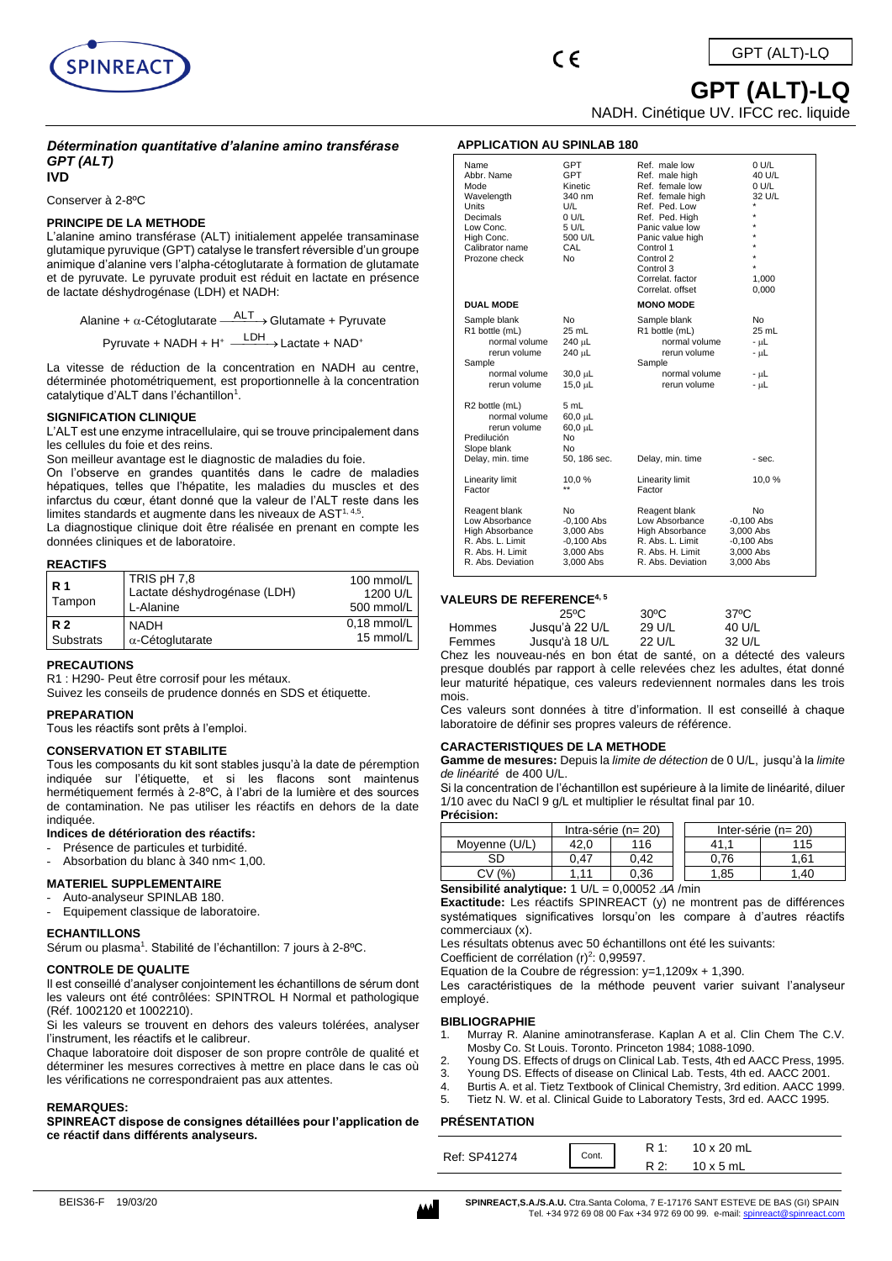

# **GPT (ALT)-LQ**

NADH. Cinétique UV. IFCC rec. liquide

# *Détermination quantitative d'alanine amino transférase GPT (ALT)*

**IVD**

## Conserver à 2-8ºC

# **PRINCIPE DE LA METHODE**

L'alanine amino transférase (ALT) initialement appelée transaminase glutamique pyruvique (GPT) catalyse le transfert réversible d'un groupe animique d'alanine vers l'alpha-cétoglutarate à formation de glutamate et de pyruvate. Le pyruvate produit est réduit en lactate en présence de lactate déshydrogénase (LDH) et NADH:

Alanine +  $\alpha$ -Cétoglutarate  $\xrightarrow{\sf{ALT}}$  Glutamate + Pyruvate

Pyruvate + NADH + H<sup>+</sup> <sup>LDH</sup> > Lactate + NAD<sup>+</sup>

La vitesse de réduction de la concentration en NADH au centre, déterminée photométriquement, est proportionnelle à la concentration catalytique d'ALT dans l'échantillon<sup>1</sup>.

# **SIGNIFICATION CLINIQUE**

L'ALT est une enzyme intracellulaire, qui se trouve principalement dans les cellules du foie et des reins.

Son meilleur avantage est le diagnostic de maladies du foie.

On l'observe en grandes quantités dans le cadre de maladies hépatiques, telles que l'hépatite, les maladies du muscles et des infarctus du cœur, étant donné que la valeur de l'ALT reste dans les limites standards et augmente dans les niveaux de AST<sup>1, 4,5</sup>.

La diagnostique clinique doit être réalisée en prenant en compte les données cliniques et de laboratoire.

## **REACTIFS**

| <b>R</b> 1<br>Tampon | TRIS pH 7.8<br>Lactate déshydrogénase (LDH)<br>L-Alanine | 100 mmol/L<br>1200 U/L<br>500 mmol/L |
|----------------------|----------------------------------------------------------|--------------------------------------|
| <b>R2</b>            | NADH                                                     | $0.18$ mmol/L                        |
| Substrats            | $\alpha$ -Cétoglutarate                                  | 15 mmol/L                            |

# **PRECAUTIONS**

R1 : H290- Peut être corrosif pour les métaux.

Suivez les conseils de prudence donnés en SDS et étiquette.

## **PREPARATION**

Tous les réactifs sont prêts à l'emploi.

## **CONSERVATION ET STABILITE**

Tous les composants du kit sont stables jusqu'à la date de péremption indiquée sur l'étiquette, et si les flacons sont maintenus hermétiquement fermés à 2-8ºC, à l'abri de la lumière et des sources de contamination. Ne pas utiliser les réactifs en dehors de la date indiquée.

## **Indices de détérioration des réactifs:**

- Présence de particules et turbidité.
- Absorbation du blanc à 340 nm< 1,00.

# **MATERIEL SUPPLEMENTAIRE**

- Auto-analyseur SPINLAB 180.
- Equipement classique de laboratoire.

# **ECHANTILLONS**

Sérum ou plasma<sup>1</sup>. Stabilité de l'échantillon: 7 jours à 2-8°C.

## **CONTROLE DE QUALITE**

Il est conseillé d'analyser conjointement les échantillons de sérum dont les valeurs ont été contrôlées: SPINTROL H Normal et pathologique (Réf. 1002120 et 1002210).

Si les valeurs se trouvent en dehors des valeurs tolérées, analyser l'instrument, les réactifs et le calibreur.

Chaque laboratoire doit disposer de son propre contrôle de qualité et déterminer les mesures correctives à mettre en place dans le cas où les vérifications ne correspondraient pas aux attentes.

## **REMARQUES:**

**SPINREACT dispose de consignes détaillées pour l'application de ce réactif dans différents analyseurs.**

## **APPLICATION AU SPINLAB 180**

| Name<br>Abbr. Name<br>Mode<br>Wavelength<br>Units<br>Decimals<br>Low Conc.<br>High Conc.<br>Calibrator name<br>Prozone check | <b>GPT</b><br><b>GPT</b><br>Kinetic<br>340 nm<br>U/L<br>0 U/L<br>5 U/L<br>500 U/L<br>CAL<br>No | Ref. male low<br>Ref. male high<br>Ref. female low<br>Ref. female high<br>Ref. Ped. Low<br>Ref. Ped. High<br>Panic value low<br>Panic value high<br>Control 1<br>Control 2<br>Control 3<br>Correlat. factor<br>Correlat, offset | 0 U/L<br>40 U/L<br>0 U/L<br>32 U/L<br>$\star$<br>$\star$<br>$\star$<br>$\star$<br>$\star$<br>1,000<br>0,000 |
|------------------------------------------------------------------------------------------------------------------------------|------------------------------------------------------------------------------------------------|---------------------------------------------------------------------------------------------------------------------------------------------------------------------------------------------------------------------------------|-------------------------------------------------------------------------------------------------------------|
| <b>DUAL MODE</b>                                                                                                             |                                                                                                | <b>MONO MODE</b>                                                                                                                                                                                                                |                                                                                                             |
| Sample blank<br>R1 bottle (mL)<br>normal volume<br>rerun volume<br>Sample<br>normal volume<br>rerun volume<br>R2 bottle (mL) | No<br>25 mL<br>240 µL<br>240 µL<br>$30,0 \mu L$<br>15,0 µL<br>5 mL                             | Sample blank<br>R1 bottle (mL)<br>normal volume<br>rerun volume<br>Sample<br>normal volume<br>rerun volume                                                                                                                      | <b>No</b><br>25 mL<br>- uL<br>- uL<br>- uL<br>- uL                                                          |
| normal volume<br>rerun volume<br>Predilución<br>Slope blank<br>Delay, min. time                                              | $60,0 \mu L$<br>$60,0 \mu L$<br>No<br>No<br>50, 186 sec.                                       | Delay, min. time                                                                                                                                                                                                                | - sec.                                                                                                      |
| Linearity limit<br>Factor                                                                                                    | 10,0%                                                                                          | Linearity limit<br>Factor                                                                                                                                                                                                       | 10,0%                                                                                                       |
| Reagent blank<br>Low Absorbance<br>High Absorbance<br>R. Abs. L. Limit<br>R. Abs. H. Limit<br>R. Abs. Deviation              | No<br>$-0,100$ Abs<br>3,000 Abs<br>$-0,100$ Abs<br>3.000 Abs<br>3.000 Abs                      | Reagent blank<br>Low Absorbance<br>High Absorbance<br>R. Abs. L. Limit<br>R. Abs. H. Limit<br>R. Abs. Deviation                                                                                                                 | No<br>$-0,100$ Abs<br>3.000 Abs<br>$-0,100$ Abs<br>3.000 Abs<br>3.000 Abs                                   |

## **VALEURS DE REFERENCE4, 5**

|        | $25^{\circ}$ C | $30^{\circ}$ C | 37°C   |
|--------|----------------|----------------|--------|
| Hommes | Jusqu'à 22 U/L | 29 U/L         | 40 U/L |
| Femmes | Jusqu'à 18 U/L | 22 U/L         | 32 U/L |

Chez les nouveau-nés en bon état de santé, on a détecté des valeurs presque doublés par rapport à celle relevées chez les adultes, état donné leur maturité hépatique, ces valeurs redeviennent normales dans les trois mois.

Ces valeurs sont données à titre d'information. Il est conseillé à chaque laboratoire de définir ses propres valeurs de référence.

## **CARACTERISTIQUES DE LA METHODE**

**Gamme de mesures:** Depuis la *limite de détection* de 0 U/L, jusqu'à la *limite de linéarité* de 400 U/L.

Si la concentration de l'échantillon est supérieure à la limite de linéarité, diluer 1/10 avec du NaCl 9 g/L et multiplier le résultat final par 10. **Précision:**

| riecisium.                                                    |                          |      |  |                          |      |
|---------------------------------------------------------------|--------------------------|------|--|--------------------------|------|
|                                                               | Intra-série ( $n = 20$ ) |      |  | Inter-série ( $n = 20$ ) |      |
| Moyenne (U/L)                                                 | 42.0                     | 116  |  |                          | 115  |
| SD                                                            | 0.47                     | 0.42 |  | 0.76                     | 1.61 |
| CV(% )                                                        | 1.11                     | 0.36 |  | 1,85                     | .40  |
| $P$ anoibilitá anolytiques 1     $\mu = 0.00052$ $\mu$ A /min |                          |      |  |                          |      |

**Sensibilité analytique:** 1 U/L = 0,00052 *A* /min

**Exactitude:** Les réactifs SPINREACT (y) ne montrent pas de différences systématiques significatives lorsqu'on les compare à d'autres réactifs commerciaux (x).

Les résultats obtenus avec 50 échantillons ont été les suivants:

Coefficient de corrélation  $(r)^2$ : 0,99597.

Equation de la Coubre de régression: y=1,1209x + 1,390. Les caractéristiques de la méthode peuvent varier suivant l'analyseur employé.

## **BIBLIOGRAPHIE**

- 1. Murray R. Alanine aminotransferase. Kaplan A et al. Clin Chem The C.V. Mosby Co. St Louis. Toronto. Princeton 1984; 1088-1090.
- 2. Young DS. Effects of drugs on Clinical Lab. Tests, 4th ed AACC Press, 1995.
- 3. Young DS. Effects of disease on Clinical Lab. Tests, 4th ed. AACC 2001.
- 4. Burtis A. et al. Tietz Textbook of Clinical Chemistry, 3rd edition. AACC 1999.
- 5. Tietz N. W. et al. Clinical Guide to Laboratory Tests, 3rd ed. AACC 1995.

## **PRÉSENTATION**

| Ref: SP41274 | Cont. | R 1:<br>$R^2$ | $10 \times 20$ mL<br>$10 \times 5$ mL |
|--------------|-------|---------------|---------------------------------------|
|              |       |               |                                       |